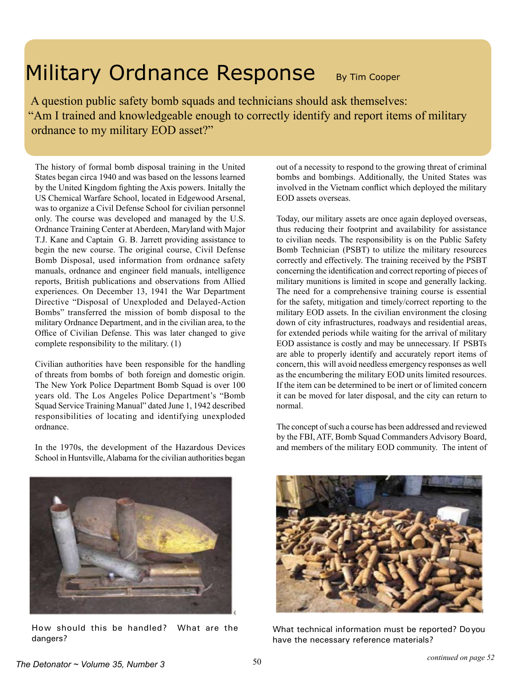## Military Ordnance Response By Tim Cooper

 A question public safety bomb squads and technicians should ask themselves: "Am I trained and knowledgeable enough to correctly identify and report items of military ordnance to my military EOD asset?"

The history of formal bomb disposal training in the United States began circa 1940 and was based on the lessons learned by the United Kingdom fighting the Axis powers. Initally the US Chemical Warfare School, located in Edgewood Arsenal, was to organize a Civil Defense School for civilian personnel only. The course was developed and managed by the U.S. Ordnance Training Center at Aberdeen, Maryland with Major T.J. Kane and Captain G. B. Jarrett providing assistance to begin the new course. The original course, Civil Defense Bomb Disposal, used information from ordnance safety manuals, ordnance and engineer field manuals, intelligence reports, British publications and observations from Allied experiences. On December 13, 1941 the War Department Directive "Disposal of Unexploded and Delayed-Action Bombs" transferred the mission of bomb disposal to the military Ordnance Department, and in the civilian area, to the Office of Civilian Defense. This was later changed to give complete responsibility to the military. (1)

Civilian authorities have been responsible for the handling of threats from bombs of both foreign and domestic origin. The New York Police Department Bomb Squad is over 100 years old. The Los Angeles Police Department's "Bomb Squad Service Training Manual" dated June 1, 1942 described responsibilities of locating and identifying unexploded ordnance.

In the 1970s, the development of the Hazardous Devices School in Huntsville, Alabama for the civilian authorities began out of a necessity to respond to the growing threat of criminal bombs and bombings. Additionally, the United States was involved in the Vietnam conflict which deployed the military EOD assets overseas.

Today, our military assets are once again deployed overseas, thus reducing their footprint and availability for assistance to civilian needs. The responsibility is on the Public Safety Bomb Technician (PSBT) to utilize the military resources correctly and effectively. The training received by the PSBT concerning the identification and correct reporting of pieces of military munitions is limited in scope and generally lacking. The need for a comprehensive training course is essential for the safety, mitigation and timely/correct reporting to the military EOD assets. In the civilian environment the closing down of city infrastructures, roadways and residential areas, for extended periods while waiting for the arrival of military EOD assistance is costly and may be unnecessary. If PSBTs are able to properly identify and accurately report items of concern, this will avoid needless emergency responses as well as the encumbering the military EOD units limited resources. If the item can be determined to be inert or of limited concern it can be moved for later disposal, and the city can return to normal.

The concept of such a course has been addressed and reviewed by the FBI, ATF, Bomb Squad Commanders Advisory Board, and members of the military EOD community. The intent of



How should this be handled? What are the dangers?



What technical information must be reported? Do you have the necessary reference materials?